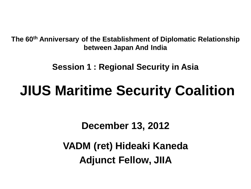**The 60th Anniversary of the Establishment of Diplomatic Relationship between Japan And India**

**Session 1 : Regional Security in Asia**

# **JIUS Maritime Security Coalition**

**December 13, 2012**

**VADM (ret) Hideaki Kaneda Adjunct Fellow, JIIA**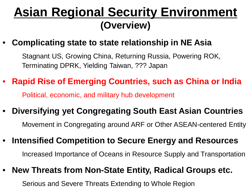### **Asian Regional Security Environment (Overview)**

• **Complicating state to state relationship in NE Asia**

 Stagnant US, Growing China, Returning Russia, Powering ROK, Terminating DPRK, Yielding Taiwan, ??? Japan

- **Rapid Rise of Emerging Countries, such as China or India** Political, economic, and military hub development
- **Diversifying yet Congregating South East Asian Countries** Movement in Congregating around ARF or Other ASEAN-centered Entity
- **Intensified Competition to Secure Energy and Resources** Increased Importance of Oceans in Resource Supply and Transportation
- **New Threats from Non-State Entity, Radical Groups etc.**

Serious and Severe Threats Extending to Whole Region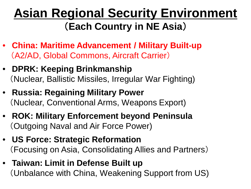## **Asian Regional Security Environment** (**Each Country in NE Asia**)

- **China: Maritime Advancement / Military Built-up** (A2/AD, Global Commons, Aircraft Carrier)
- **DPRK: Keeping Brinkmanship** (Nuclear, Ballistic Missiles, Irregular War Fighting)
- **Russia: Regaining Military Power** (Nuclear, Conventional Arms, Weapons Export)
- **ROK: Military Enforcement beyond Peninsula** (Outgoing Naval and Air Force Power)
- **US Force: Strategic Reformation** (Focusing on Asia, Consolidating Allies and Partners)
- **Taiwan: Limit in Defense Built up** (Unbalance with China, Weakening Support from US)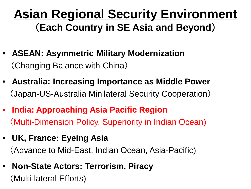## **Asian Regional Security Environment** (**Each Country in SE Asia and Beyond**)

- **ASEAN: Asymmetric Military Modernization** (Changing Balance with China)
- **Australia: Increasing Importance as Middle Power** (Japan-US-Australia Minilateral Security Cooperation)
- **India: Approaching Asia Pacific Region**  (Multi-Dimension Policy, Superiority in Indian Ocean)
- **UK, France: Eyeing Asia** (Advance to Mid-East, Indian Ocean, Asia-Pacific)
- **Non-State Actors: Terrorism, Piracy**

(Multi-lateral Efforts)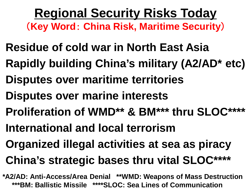**Regional Security Risks Today** (**Key Word**: **China Risk, Maritime Security**)

- **Residue of cold war in North East Asia**
- **Rapidly building China's military (A2/AD\* etc)**
- **Disputes over maritime territories**
- **Disputes over marine interests**
- **Proliferation of WMD\*\* & BM\*\*\* thru SLOC\*\*\*\***
- **International and local terrorism**
- **Organized illegal activities at sea as piracy**
- **China's strategic bases thru vital SLOC\*\*\*\***
- **\*A2/AD: Anti-Access/Area Denial \*\*WMD: Weapons of Mass Destruction \*\*\*BM: Ballistic Missile \*\*\*\*SLOC: Sea Lines of Communication**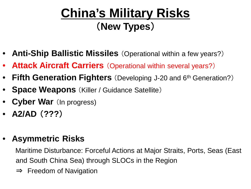## **China's Military Risks** (**New Types**)

- **Anti-Ship Ballistic Missiles** (Operational within a few years?)
- **Attack Aircraft Carriers** (Operational within several years?)
- **Fifth Generation Fighters** (Developing J-20 and 6<sup>th</sup> Generation?)
- **Space Weapons** (Killer / Guidance Satellite)
- **Cyber War** (In progress)
- **A2/AD** (**???**)

#### • **Asymmetric Risks**

 Maritime Disturbance: Forceful Actions at Major Straits, Ports, Seas (East and South China Sea) through SLOCs in the Region

⇒ Freedom of Navigation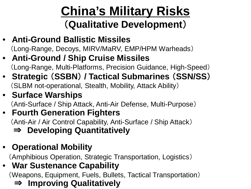# **China's Military Risks**

#### (**Qualitative Development**)

- **Anti-Ground Ballistic Missiles** (Long-Range, Decoys, MIRV/MaRV, EMP/HPM Warheads)
- **Anti-Ground / Ship Cruise Missiles** (Long-Range, Multi-Platforms, Precision Guidance, High-Speed)
- **Strategic** (**SSBN**) **/ Tactical Submarines** (**SSN/SS**) (SLBM not-operational, Stealth, Mobility, Attack Ability)
- **Surface Warships**

(Anti-Surface / Ship Attack, Anti-Air Defense, Multi-Purpose)

#### • **Fourth Generation Fighters**

(Anti-Air / Air Control Capability, Anti-Surface / Ship Attack)

⇒ **Developing Quantitatively**

#### • **Operational Mobility**

(Amphibious Operation, Strategic Transportation, Logistics)

#### • **War Sustenance Capability**

(Weapons, Equipment, Fuels, Bullets, Tactical Transportation)

⇒ **Improving Qualitatively**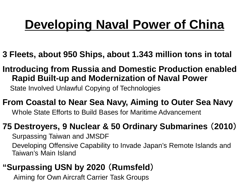## **Developing Naval Power of China**

- **3 Fleets, about 950 Ships, about 1.343 million tons in total**
- **Introducing from Russia and Domestic Production enabled Rapid Built-up and Modernization of Naval Power**

State Involved Unlawful Copying of Technologies

**From Coastal to Near Sea Navy, Aiming to Outer Sea Navy** Whole State Efforts to Build Bases for Maritime Advancement

#### **75 Destroyers, 9 Nuclear & 50 Ordinary Submarines** (**2010**)

Surpassing Taiwan and JMSDF Developing Offensive Capability to Invade Japan's Remote Islands and Taiwan's Main Island

#### **"Surpassing USN by 2020** (**Rumsfeld**)

Aiming for Own Aircraft Carrier Task Groups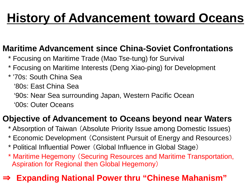## **History of Advancement toward Oceans**

#### **Maritime Advancement since China-Soviet Confrontations**

- \* Focusing on Maritime Trade (Mao Tse-tung) for Survival
- \* Focusing on Maritime Interests (Deng Xiao-ping) for Development
- \* '70s: South China Sea
	- '80s: East China Sea
	- '90s: Near Sea surrounding Japan, Western Pacific Ocean
	- '00s: Outer Oceans

#### **Objective of Advancement to Oceans beyond near Waters**

- \* Absorption of Taiwan (Absolute Priority Issue among Domestic Issues)
- \* Economic Development (Consistent Pursuit of Energy and Resources)
- \* Political Influential Power (Global Influence in Global Stage)
- \* Maritime Hegemony (Securing Resources and Maritime Transportation, Aspiration for Regional then Global Hegemony)

#### **Expanding National Power thru "Chinese Mahanism"**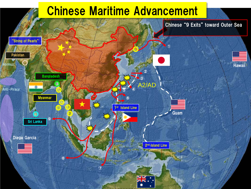### Chinese Maritime Advancement

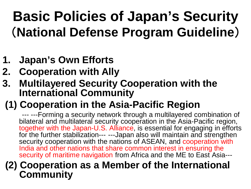# **Basic Policies of Japan's Security**  (**National Defense Program Guideline**)

- **1. Japan's Own Efforts**
- **2. Cooperation with Ally**
- **3. Multilayered Security Cooperation with the International Community**

### **(1) Cooperation in the Asia-Pacific Region**

 --- ---Forming a security network through a multilayered combination of bilateral and multilateral security cooperation in the Asia-Pacific region, together with the Japan-U.S. Alliance, is essential for engaging in efforts for the further stabilization--- ---Japan also will maintain and strengthen security cooperation with the nations of ASEAN, and cooperation with India and other nations that share common interest in ensuring the security of maritime navigation from Africa and the ME to East Asia---

#### **(2) Cooperation as a Member of the International Community**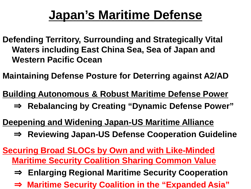## **Japan's Maritime Defense**

- **Defending Territory, Surrounding and Strategically Vital Waters including East China Sea, Sea of Japan and Western Pacific Ocean**
- **Maintaining Defense Posture for Deterring against A2/AD**
- **Building Autonomous & Robust Maritime Defense Power**
	- ⇒ **Rebalancing by Creating "Dynamic Defense Power"**
- **Deepening and Widening Japan-US Maritime Alliance**
	- ⇒ **Reviewing Japan-US Defense Cooperation Guideline**
- **Securing Broad SLOCs by Own and with Like-Minded Maritime Security Coalition Sharing Common Value**
	- ⇒ **Enlarging Regional Maritime Security Cooperation**
	- ⇒ **Maritime Security Coalition in the "Expanded Asia"**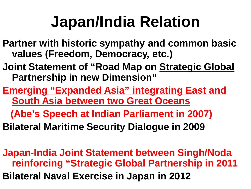# **Japan/India Relation**

- **Partner with historic sympathy and common basic values (Freedom, Democracy, etc.)**
- **Joint Statement of "Road Map on Strategic Global Partnership in new Dimension"**
- **Emerging "Expanded Asia" integrating East and South Asia between two Great Oceans**
	- **(Abe's Speech at Indian Parliament in 2007)**
- **Bilateral Maritime Security Dialogue in 2009**
- **Japan-India Joint Statement between Singh/Noda reinforcing "Strategic Global Partnership in 2011 Bilateral Naval Exercise in Japan in 2012**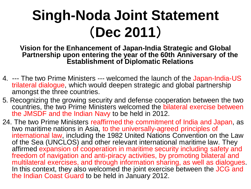# **Singh-Noda Joint Statement**  (**Dec 2011**)

**Vision for the Enhancement of Japan-India Strategic and Global Partnership upon entering the year of the 60th Anniversary of the Establishment of Diplomatic Relations**

- 4. --- The two Prime Ministers --- welcomed the launch of the Japan-India-US trilateral dialogue, which would deepen strategic and global partnership amongst the three countries.
- 5. Recognizing the growing security and defense cooperation between the two countries, the two Prime Ministers welcomed the bilateral exercise between the JMSDF and the Indian Navy to be held in 2012.
- 24. The two Prime Ministers reaffirmed the commitment of India and Japan, as two maritime nations in Asia, to the universally-agreed principles of international law, including the 1982 United Nations Convention on the Law of the Sea (UNCLOS) and other relevant international maritime law. They affirmed expansion of cooperation in maritime security including safety and freedom of navigation and anti-piracy activities, by promoting bilateral and<br>multilateral exercises, and through information sharing, as well as dialogues. In this context, they also welcomed the joint exercise between the JCG and the Indian Coast Guard to be held in January 2012.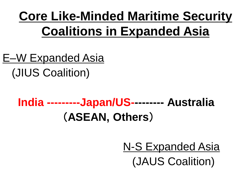## **Core Like-Minded Maritime Security Coalitions in Expanded Asia**

E–W Expanded Asia (JIUS Coalition)

## **India ---------Japan/US--------- Australia** (**ASEAN, Others**)

 N-S Expanded Asia (JAUS Coalition)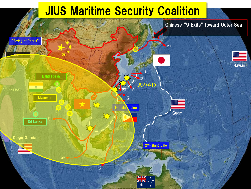## **JIUS Maritime Security Coalition**